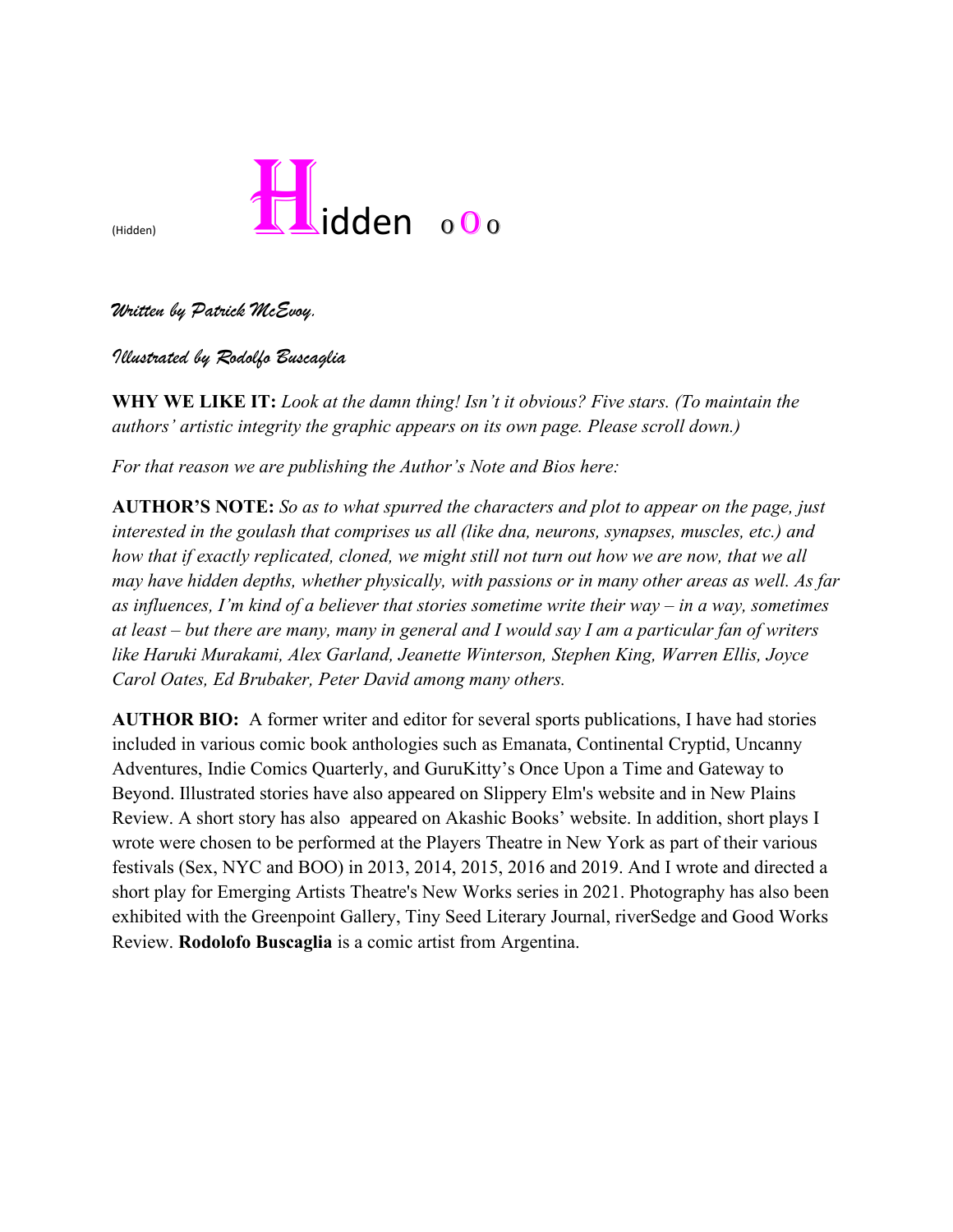

*Written by Patrick McEvoy.* 

*Illustrated by Rodolfo Buscaglia*

**WHY WE LIKE IT:** *Look at the damn thing! Isn't it obvious? Five stars. (To maintain the authors' artistic integrity the graphic appears on its own page. Please scroll down.)*

*For that reason we are publishing the Author's Note and Bios here:*

**AUTHOR'S NOTE:** *So as to what spurred the characters and plot to appear on the page, just interested in the goulash that comprises us all (like dna, neurons, synapses, muscles, etc.) and how that if exactly replicated, cloned, we might still not turn out how we are now, that we all may have hidden depths, whether physically, with passions or in many other areas as well. As far as influences, I'm kind of a believer that stories sometime write their way – in a way, sometimes at least – but there are many, many in general and I would say I am a particular fan of writers like Haruki Murakami, Alex Garland, Jeanette Winterson, Stephen King, Warren Ellis, Joyce Carol Oates, Ed Brubaker, Peter David among many others.* 

**AUTHOR BIO:** A former writer and editor for several sports publications, I have had stories included in various comic book anthologies such as Emanata, Continental Cryptid, Uncanny Adventures, Indie Comics Quarterly, and GuruKitty's Once Upon a Time and Gateway to Beyond. Illustrated stories have also appeared on Slippery Elm's website and in New Plains Review. A short story has also appeared on Akashic Books' website. In addition, short plays I wrote were chosen to be performed at the Players Theatre in New York as part of their various festivals (Sex, NYC and BOO) in 2013, 2014, 2015, 2016 and 2019. And I wrote and directed a short play for Emerging Artists Theatre's New Works series in 2021. Photography has also been exhibited with the Greenpoint Gallery, Tiny Seed Literary Journal, riverSedge and Good Works Review. **Rodolofo Buscaglia** is a comic artist from Argentina.